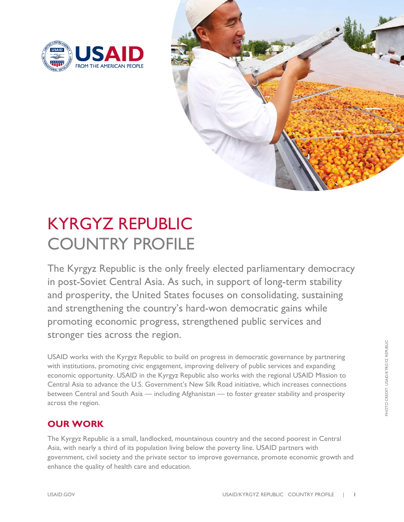



## KYRGYZ REPUBLIC COUNTRY PROFILE

The Kyrgyz Republic is the only freely elected parliamentary democracy in post-Soviet Central Asia. As such, in support of long-term stability and prosperity, the United States focuses on consolidating, sustaining and strengthening the country's hard-won democratic gains while promoting economic progress, strengthened public services and stronger ties across the region.

USAID works with the Kyrgyz Republic to build on progress in democratic governance by partnering with institutions, promoting civic engagement, improving delivery of public services and expanding economic opportunity. USAID in the Kyrgyz Republic also works with the regional USAID Mission to Central Asia to advance the U.S. Government's New Silk Road initiative, which increases connections between Central and South Asia — including Afghanistan — to foster greater stability and prosperity across the region.

### **OUR WORK**

The Kyrgyz Republic is a small, landlocked, mountainous country and the second poorest in Central Asia, with nearly a third of its population living below the poverty line. USAID partners with government, civil society and the private sector to improve governance, promote economic growth and enhance the quality of health care and education.